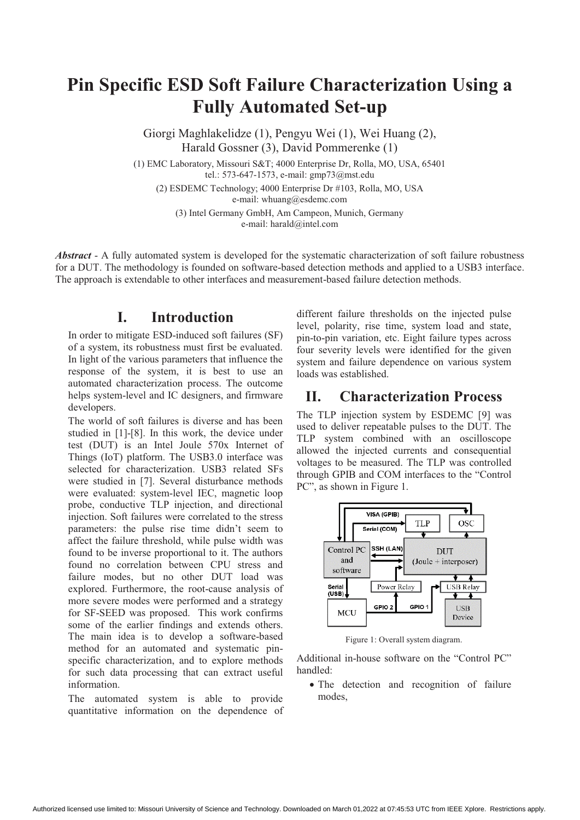# **Pin Specific ESD Soft Failure Characterization Using a Fully Automated Set-up**

Giorgi Maghlakelidze (1), Pengyu Wei (1), Wei Huang (2), Harald Gossner (3), David Pommerenke (1)

(1) EMC Laboratory, Missouri S&T; 4000 Enterprise Dr, Rolla, MO, USA, 65401 tel.: 573-647-1573, e-mail: gmp73@mst.edu

(2) ESDEMC Technology; 4000 Enterprise Dr #103, Rolla, MO, USA e-mail: whuang@esdemc.com

(3) Intel Germany GmbH, Am Campeon, Munich, Germany e-mail: harald@intel.com

*Abstract* - A fully automated system is developed for the systematic characterization of soft failure robustness for a DUT. The methodology is founded on software-based detection methods and applied to a USB3 interface. The approach is extendable to other interfaces and measurement-based failure detection methods.

### **I. Introduction**

In order to mitigate ESD-induced soft failures (SF) of a system, its robustness must first be evaluated. In light of the various parameters that influence the response of the system, it is best to use an automated characterization process. The outcome helps system-level and IC designers, and firmware developers.

The world of soft failures is diverse and has been studied in [1]-[8]. In this work, the device under test (DUT) is an Intel Joule 570x Internet of Things (IoT) platform. The USB3.0 interface was selected for characterization. USB3 related SFs were studied in [7]. Several disturbance methods were evaluated: system-level IEC, magnetic loop probe, conductive TLP injection, and directional injection. Soft failures were correlated to the stress parameters: the pulse rise time didn't seem to affect the failure threshold, while pulse width was found to be inverse proportional to it. The authors found no correlation between CPU stress and failure modes, but no other DUT load was explored. Furthermore, the root-cause analysis of more severe modes were performed and a strategy for SF-SEED was proposed. This work confirms some of the earlier findings and extends others. The main idea is to develop a software-based method for an automated and systematic pinspecific characterization, and to explore methods for such data processing that can extract useful information.

The automated system is able to provide quantitative information on the dependence of different failure thresholds on the injected pulse level, polarity, rise time, system load and state, pin-to-pin variation, etc. Eight failure types across four severity levels were identified for the given system and failure dependence on various system loads was established.

### **II. Characterization Process**

The TLP injection system by ESDEMC [9] was used to deliver repeatable pulses to the DUT. The TLP system combined with an oscilloscope allowed the injected currents and consequential voltages to be measured. The TLP was controlled through GPIB and COM interfaces to the "Control PC", as shown in Figure 1.



Figure 1: Overall system diagram.

Additional in-house software on the "Control PC" handled:

- The detection and recognition of failure modes,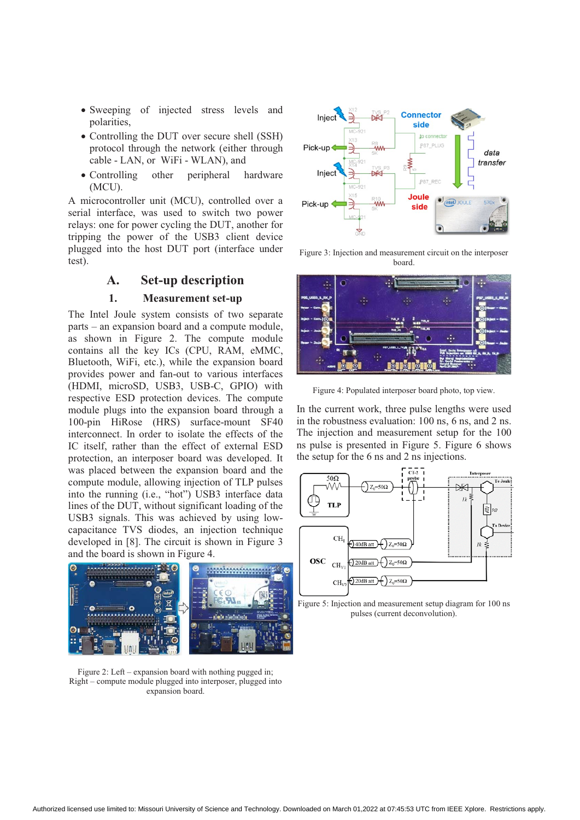- Sweeping of injected stress levels and polarities,
- Controlling the DUT over secure shell (SSH) protocol through the network (either through cable - LAN, or WiFi - WLAN), and
- Controlling other peripheral hardware (MCU).

A microcontroller unit (MCU), controlled over a serial interface, was used to switch two power relays: one for power cycling the DUT, another for tripping the power of the USB3 client device plugged into the host DUT port (interface under test).

#### **A. Set-up description**

#### **1. Measurement set-up**

The Intel Joule system consists of two separate parts – an expansion board and a compute module, as shown in Figure 2. The compute module contains all the key ICs (CPU, RAM, eMMC, Bluetooth, WiFi, etc.), while the expansion board provides power and fan-out to various interfaces (HDMI, microSD, USB3, USB-C, GPIO) with respective ESD protection devices. The compute module plugs into the expansion board through a 100-pin HiRose (HRS) surface-mount SF40 interconnect. In order to isolate the effects of the IC itself, rather than the effect of external ESD protection, an interposer board was developed. It was placed between the expansion board and the compute module, allowing injection of TLP pulses into the running (i.e., "hot") USB3 interface data lines of the DUT, without significant loading of the USB3 signals. This was achieved by using lowcapacitance TVS diodes, an injection technique developed in [8]. The circuit is shown in Figure 3 and the board is shown in Figure 4.



Figure 2: Left – expansion board with nothing pugged in; Right – compute module plugged into interposer, plugged into expansion board.



Figure 3: Injection and measurement circuit on the interposer board.



Figure 4: Populated interposer board photo, top view.

In the current work, three pulse lengths were used in the robustness evaluation: 100 ns, 6 ns, and 2 ns. The injection and measurement setup for the 100 ns pulse is presented in Figure 5. Figure 6 shows the setup for the 6 ns and 2 ns injections.



Figure 5: Injection and measurement setup diagram for 100 ns pulses (current deconvolution).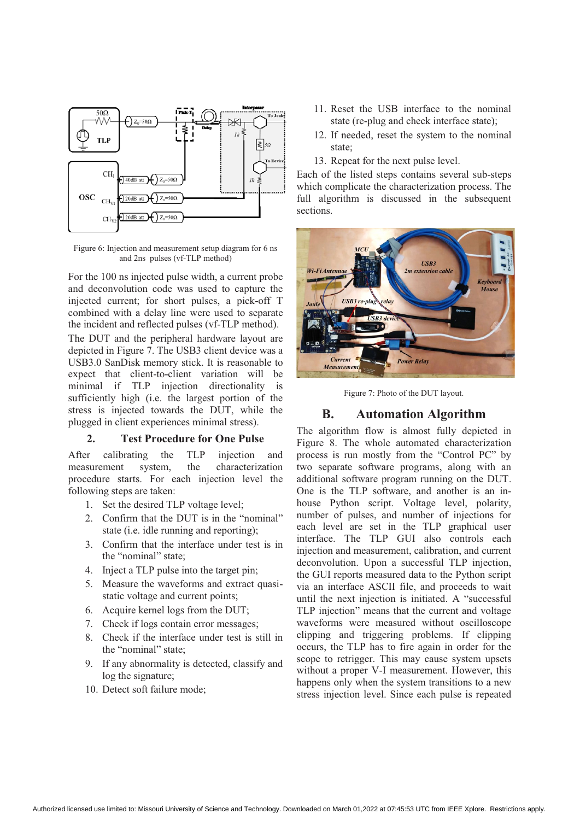

Figure 6: Injection and measurement setup diagram for 6 ns and 2ns pulses (vf-TLP method)

For the 100 ns injected pulse width, a current probe and deconvolution code was used to capture the injected current; for short pulses, a pick-off T combined with a delay line were used to separate the incident and reflected pulses (vf-TLP method).

The DUT and the peripheral hardware layout are depicted in Figure 7. The USB3 client device was a USB3.0 SanDisk memory stick. It is reasonable to expect that client-to-client variation will be minimal if TLP injection directionality is sufficiently high (i.e. the largest portion of the stress is injected towards the DUT, while the plugged in client experiences minimal stress).

#### **2. Test Procedure for One Pulse**

After calibrating the TLP injection and measurement system, the characterization procedure starts. For each injection level the following steps are taken:

- 1. Set the desired TLP voltage level;
- 2. Confirm that the DUT is in the "nominal" state (i.e. idle running and reporting);
- 3. Confirm that the interface under test is in the "nominal" state;
- 4. Inject a TLP pulse into the target pin;
- 5. Measure the waveforms and extract quasistatic voltage and current points;
- 6. Acquire kernel logs from the DUT;
- 7. Check if logs contain error messages;
- 8. Check if the interface under test is still in the "nominal" state;
- 9. If any abnormality is detected, classify and log the signature;
- 10. Detect soft failure mode;
- 11. Reset the USB interface to the nominal state (re-plug and check interface state);
- 12. If needed, reset the system to the nominal state;
- 13. Repeat for the next pulse level.

Each of the listed steps contains several sub-steps which complicate the characterization process. The full algorithm is discussed in the subsequent sections.



Figure 7: Photo of the DUT layout.

#### **B. Automation Algorithm**

The algorithm flow is almost fully depicted in Figure 8. The whole automated characterization process is run mostly from the "Control PC" by two separate software programs, along with an additional software program running on the DUT. One is the TLP software, and another is an inhouse Python script. Voltage level, polarity, number of pulses, and number of injections for each level are set in the TLP graphical user interface. The TLP GUI also controls each injection and measurement, calibration, and current deconvolution. Upon a successful TLP injection, the GUI reports measured data to the Python script via an interface ASCII file, and proceeds to wait until the next injection is initiated. A "successful TLP injection" means that the current and voltage waveforms were measured without oscilloscope clipping and triggering problems. If clipping occurs, the TLP has to fire again in order for the scope to retrigger. This may cause system upsets without a proper V-I measurement. However, this happens only when the system transitions to a new stress injection level. Since each pulse is repeated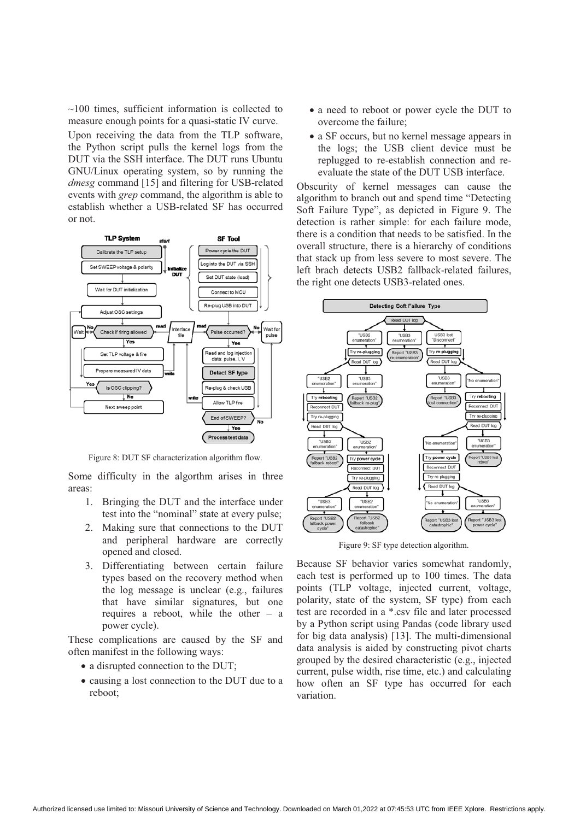$\sim$ 100 times, sufficient information is collected to measure enough points for a quasi-static IV curve. Upon receiving the data from the TLP software, the Python script pulls the kernel logs from the DUT via the SSH interface. The DUT runs Ubuntu GNU/Linux operating system, so by running the *dmesg* command [15] and filtering for USB-related events with *grep* command, the algorithm is able to establish whether a USB-related SF has occurred or not.



Figure 8: DUT SF characterization algorithm flow.

Some difficulty in the algorthm arises in three areas:

- 1. Bringing the DUT and the interface under test into the "nominal" state at every pulse;
- 2. Making sure that connections to the DUT and peripheral hardware are correctly opened and closed.
- 3. Differentiating between certain failure types based on the recovery method when the log message is unclear (e.g., failures that have similar signatures, but one requires a reboot, while the other – a power cycle).

These complications are caused by the SF and often manifest in the following ways:

- a disrupted connection to the DUT;
- causing a lost connection to the DUT due to a reboot;
- a need to reboot or power cycle the DUT to overcome the failure;
- a SF occurs, but no kernel message appears in the logs; the USB client device must be replugged to re-establish connection and reevaluate the state of the DUT USB interface.

Obscurity of kernel messages can cause the algorithm to branch out and spend time "Detecting Soft Failure Type", as depicted in Figure 9. The detection is rather simple: for each failure mode, there is a condition that needs to be satisfied. In the overall structure, there is a hierarchy of conditions that stack up from less severe to most severe. The left brach detects USB2 fallback-related failures, the right one detects USB3-related ones.



Figure 9: SF type detection algorithm.

Because SF behavior varies somewhat randomly, each test is performed up to 100 times. The data points (TLP voltage, injected current, voltage, polarity, state of the system, SF type) from each test are recorded in a \*.csv file and later processed by a Python script using Pandas (code library used for big data analysis) [13]. The multi-dimensional data analysis is aided by constructing pivot charts grouped by the desired characteristic (e.g., injected current, pulse width, rise time, etc.) and calculating how often an SF type has occurred for each variation.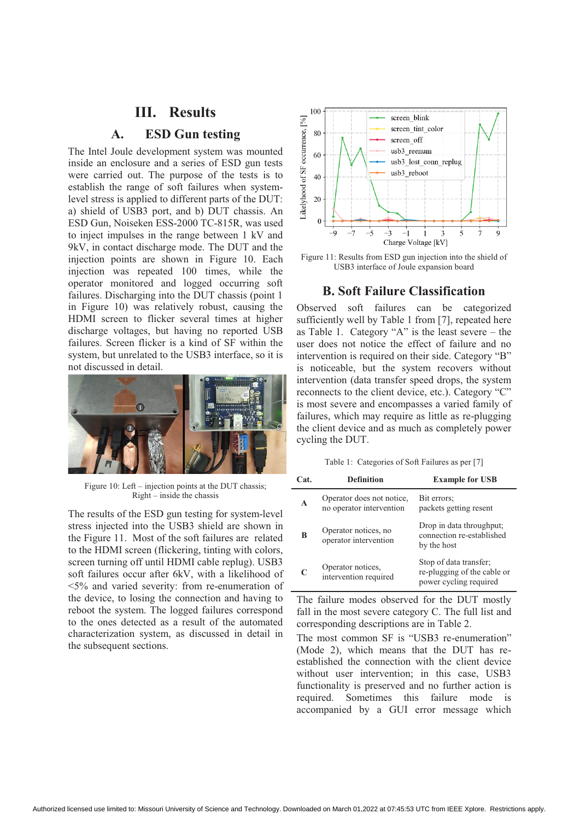### **III. Results**

### **A. ESD Gun testing**

The Intel Joule development system was mounted inside an enclosure and a series of ESD gun tests were carried out. The purpose of the tests is to establish the range of soft failures when systemlevel stress is applied to different parts of the DUT: a) shield of USB3 port, and b) DUT chassis. An ESD Gun, Noiseken ESS-2000 TC-815R, was used to inject impulses in the range between 1 kV and 9kV, in contact discharge mode. The DUT and the injection points are shown in Figure 10. Each injection was repeated 100 times, while the operator monitored and logged occurring soft failures. Discharging into the DUT chassis (point 1) in Figure 10) was relatively robust, causing the HDMI screen to flicker several times at higher discharge voltages, but having no reported USB failures. Screen flicker is a kind of SF within the system, but unrelated to the USB3 interface, so it is not discussed in detail.



Figure 10: Left – injection points at the DUT chassis; Right – inside the chassis

The results of the ESD gun testing for system-level stress injected into the USB3 shield are shown in the Figure 11. Most of the soft failures are related to the HDMI screen (flickering, tinting with colors, screen turning off until HDMI cable replug). USB3 soft failures occur after 6kV, with a likelihood of <5% and varied severity: from re-enumeration of the device, to losing the connection and having to reboot the system. The logged failures correspond to the ones detected as a result of the automated characterization system, as discussed in detail in the subsequent sections.



Figure 11: Results from ESD gun injection into the shield of USB3 interface of Joule expansion board

#### **B. Soft Failure Classification**

Observed soft failures can be categorized sufficiently well by Table 1 from [7], repeated here as Table 1. Category "A" is the least severe – the user does not notice the effect of failure and no intervention is required on their side. Category "B" is noticeable, but the system recovers without intervention (data transfer speed drops, the system reconnects to the client device, etc.). Category "C" is most severe and encompasses a varied family of failures, which may require as little as re-plugging the client device and as much as completely power cycling the DUT.

Table 1: Categories of Soft Failures as per [7]

| Cat. | <b>Definition</b>                                     | <b>Example for USB</b>                                                          |
|------|-------------------------------------------------------|---------------------------------------------------------------------------------|
| A    | Operator does not notice,<br>no operator intervention | Bit errors;<br>packets getting resent                                           |
| B    | Operator notices, no<br>operator intervention         | Drop in data throughput;<br>connection re-established<br>by the host            |
|      | Operator notices,<br>intervention required            | Stop of data transfer;<br>re-plugging of the cable or<br>power cycling required |

The failure modes observed for the DUT mostly fall in the most severe category C. The full list and corresponding descriptions are in Table 2.

The most common SF is "USB3 re-enumeration" (Mode 2), which means that the DUT has reestablished the connection with the client device without user intervention; in this case, USB3 functionality is preserved and no further action is required. Sometimes this failure mode is accompanied by a GUI error message which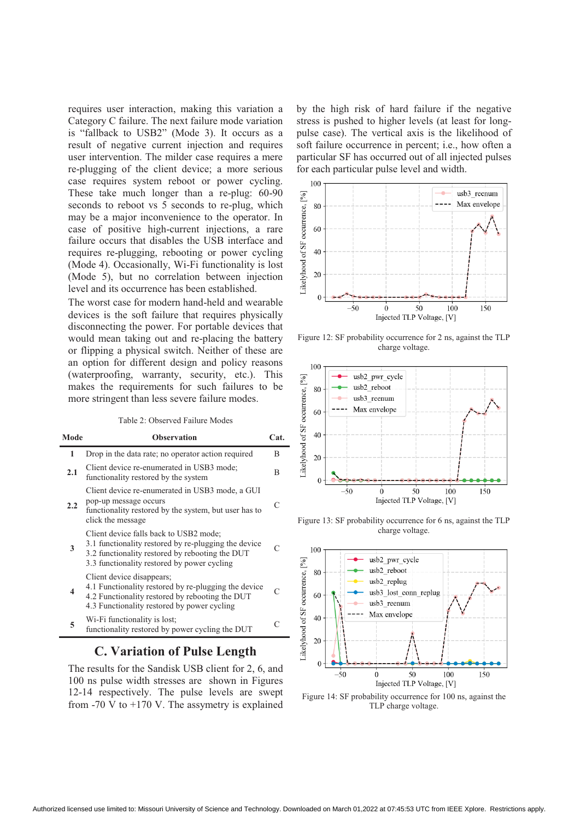requires user interaction, making this variation a Category C failure. The next failure mode variation is "fallback to USB2" (Mode 3). It occurs as a result of negative current injection and requires user intervention. The milder case requires a mere re-plugging of the client device; a more serious case requires system reboot or power cycling. These take much longer than a re-plug: 60-90 seconds to reboot vs 5 seconds to re-plug, which may be a major inconvenience to the operator. In case of positive high-current injections, a rare failure occurs that disables the USB interface and requires re-plugging, rebooting or power cycling (Mode 4). Occasionally, Wi-Fi functionality is lost (Mode 5), but no correlation between injection level and its occurrence has been established.

The worst case for modern hand-held and wearable devices is the soft failure that requires physically disconnecting the power. For portable devices that would mean taking out and re-placing the battery or flipping a physical switch. Neither of these are an option for different design and policy reasons (waterproofing, warranty, security, etc.). This makes the requirements for such failures to be more stringent than less severe failure modes.

#### Table 2: Observed Failure Modes

| Mode | <b>Observation</b>                                                                                                                                                                               | Cat.      |
|------|--------------------------------------------------------------------------------------------------------------------------------------------------------------------------------------------------|-----------|
| 1    | Drop in the data rate; no operator action required                                                                                                                                               | B         |
| 2.1  | Client device re-enumerated in USB3 mode;<br>functionality restored by the system                                                                                                                | R         |
| 2.2  | Client device re-enumerated in USB3 mode, a GUI<br>pop-up message occurs<br>functionality restored by the system, but user has to<br>click the message                                           | $\subset$ |
| 3    | Client device falls back to USB2 mode;<br>3.1 functionality restored by re-plugging the device<br>3.2 functionality restored by rebooting the DUT<br>3.3 functionality restored by power cycling |           |
| 4    | Client device disappears;<br>4.1 Functionality restored by re-plugging the device<br>4.2 Functionality restored by rebooting the DUT<br>4.3 Functionality restored by power cycling              |           |
| 5    | Wi-Fi functionality is lost;<br>functionality restored by power cycling the DUT                                                                                                                  |           |

### **C. Variation of Pulse Length**

The results for the Sandisk USB client for 2, 6, and 100 ns pulse width stresses are shown in Figures 12-14 respectively. The pulse levels are swept from  $-70$  V to  $+170$  V. The assymetry is explained by the high risk of hard failure if the negative stress is pushed to higher levels (at least for longpulse case). The vertical axis is the likelihood of soft failure occurrence in percent; i.e., how often a particular SF has occurred out of all injected pulses for each particular pulse level and width.



Figure 12: SF probability occurrence for 2 ns, against the TLP charge voltage.



Figure 13: SF probability occurrence for 6 ns, against the TLP charge voltage.



Figure 14: SF probability occurrence for 100 ns, against the TLP charge voltage.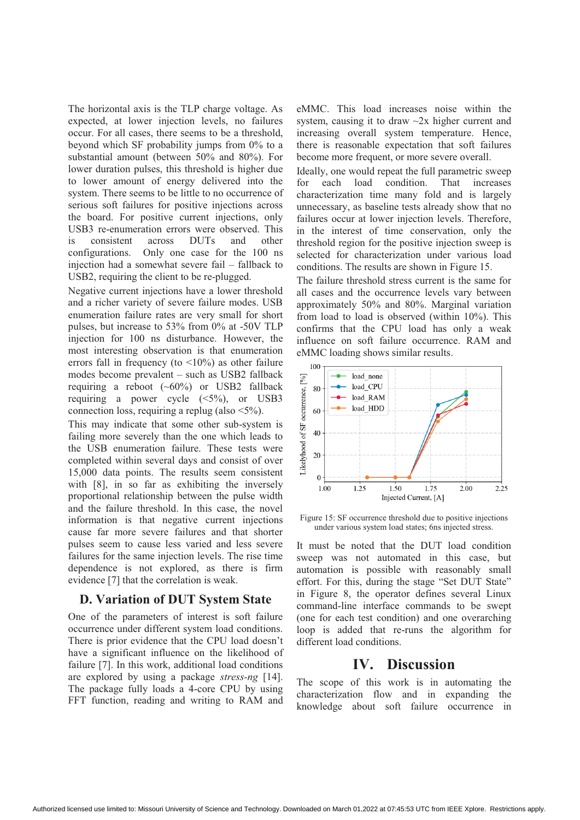The horizontal axis is the TLP charge voltage. As expected, at lower injection levels, no failures occur. For all cases, there seems to be a threshold, beyond which SF probability jumps from 0% to a substantial amount (between 50% and 80%). For lower duration pulses, this threshold is higher due to lower amount of energy delivered into the system. There seems to be little to no occurrence of serious soft failures for positive injections across the board. For positive current injections, only USB3 re-enumeration errors were observed. This is consistent across DUTs and other configurations. Only one case for the 100 ns injection had a somewhat severe fail – fallback to USB2, requiring the client to be re-plugged.

Negative current injections have a lower threshold and a richer variety of severe failure modes. USB enumeration failure rates are very small for short pulses, but increase to 53% from 0% at -50V TLP injection for 100 ns disturbance. However, the most interesting observation is that enumeration errors fall in frequency (to  $\langle 10\% \rangle$ ) as other failure modes become prevalent – such as USB2 fallback requiring a reboot  $({\sim}60\%)$  or USB2 fallback requiring a power cycle  $(\leq 5\%)$ , or USB3 connection loss, requiring a replug (also <5%).

This may indicate that some other sub-system is failing more severely than the one which leads to the USB enumeration failure. These tests were completed within several days and consist of over 15,000 data points. The results seem consistent with [8], in so far as exhibiting the inversely proportional relationship between the pulse width and the failure threshold. In this case, the novel information is that negative current injections cause far more severe failures and that shorter pulses seem to cause less varied and less severe failures for the same injection levels. The rise time dependence is not explored, as there is firm evidence [7] that the correlation is weak.

#### **D. Variation of DUT System State**

One of the parameters of interest is soft failure occurrence under different system load conditions. There is prior evidence that the CPU load doesn't have a significant influence on the likelihood of failure [7]. In this work, additional load conditions are explored by using a package *stress-ng* [14]. The package fully loads a 4-core CPU by using FFT function, reading and writing to RAM and eMMC. This load increases noise within the system, causing it to draw ~2x higher current and increasing overall system temperature. Hence, there is reasonable expectation that soft failures become more frequent, or more severe overall.

Ideally, one would repeat the full parametric sweep for each load condition. That increases characterization time many fold and is largely unnecessary, as baseline tests already show that no failures occur at lower injection levels. Therefore, in the interest of time conservation, only the threshold region for the positive injection sweep is selected for characterization under various load conditions. The results are shown in Figure 15.

The failure threshold stress current is the same for all cases and the occurrence levels vary between approximately 50% and 80%. Marginal variation from load to load is observed (within 10%). This confirms that the CPU load has only a weak influence on soft failure occurrence. RAM and eMMC loading shows similar results.



Figure 15: SF occurrence threshold due to positive injections under various system load states; 6ns injected stress.

It must be noted that the DUT load condition sweep was not automated in this case, but automation is possible with reasonably small effort. For this, during the stage "Set DUT State" in Figure 8, the operator defines several Linux command-line interface commands to be swept (one for each test condition) and one overarching loop is added that re-runs the algorithm for different load conditions.

### **IV. Discussion**

The scope of this work is in automating the characterization flow and in expanding the knowledge about soft failure occurrence in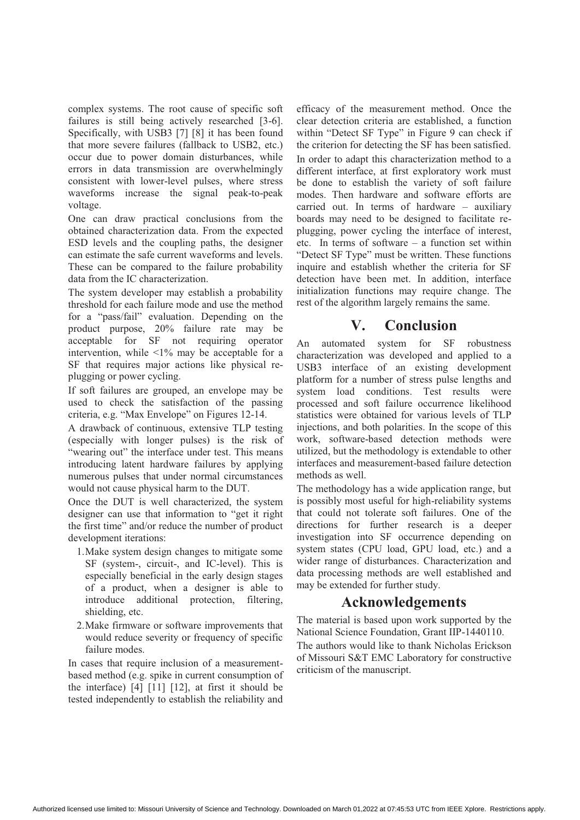complex systems. The root cause of specific soft failures is still being actively researched [3-6]. Specifically, with USB3 [7] [8] it has been found that more severe failures (fallback to USB2, etc.) occur due to power domain disturbances, while errors in data transmission are overwhelmingly consistent with lower-level pulses, where stress waveforms increase the signal peak-to-peak voltage.

One can draw practical conclusions from the obtained characterization data. From the expected ESD levels and the coupling paths, the designer can estimate the safe current waveforms and levels. These can be compared to the failure probability data from the IC characterization.

The system developer may establish a probability threshold for each failure mode and use the method for a "pass/fail" evaluation. Depending on the product purpose, 20% failure rate may be acceptable for SF not requiring operator intervention, while  $\langle 1\%$  may be acceptable for a SF that requires major actions like physical replugging or power cycling.

If soft failures are grouped, an envelope may be used to check the satisfaction of the passing criteria, e.g. "Max Envelope" on Figures 12-14.

A drawback of continuous, extensive TLP testing (especially with longer pulses) is the risk of "wearing out" the interface under test. This means introducing latent hardware failures by applying numerous pulses that under normal circumstances would not cause physical harm to the DUT.

Once the DUT is well characterized, the system designer can use that information to "get it right the first time" and/or reduce the number of product development iterations:

- 1.Make system design changes to mitigate some SF (system-, circuit-, and IC-level). This is especially beneficial in the early design stages of a product, when a designer is able to introduce additional protection, filtering, shielding, etc.
- 2.Make firmware or software improvements that would reduce severity or frequency of specific failure modes.

In cases that require inclusion of a measurementbased method (e.g. spike in current consumption of the interface) [4] [11] [12], at first it should be tested independently to establish the reliability and

efficacy of the measurement method. Once the clear detection criteria are established, a function within "Detect SF Type" in Figure 9 can check if the criterion for detecting the SF has been satisfied. In order to adapt this characterization method to a different interface, at first exploratory work must be done to establish the variety of soft failure modes. Then hardware and software efforts are carried out. In terms of hardware – auxiliary boards may need to be designed to facilitate replugging, power cycling the interface of interest, etc. In terms of software – a function set within "Detect SF Type" must be written. These functions inquire and establish whether the criteria for SF detection have been met. In addition, interface initialization functions may require change. The rest of the algorithm largely remains the same.

## **V. Conclusion**

An automated system for SF robustness characterization was developed and applied to a USB3 interface of an existing development platform for a number of stress pulse lengths and system load conditions. Test results were processed and soft failure occurrence likelihood statistics were obtained for various levels of TLP injections, and both polarities. In the scope of this work, software-based detection methods were utilized, but the methodology is extendable to other interfaces and measurement-based failure detection methods as well.

The methodology has a wide application range, but is possibly most useful for high-reliability systems that could not tolerate soft failures. One of the directions for further research is a deeper investigation into SF occurrence depending on system states (CPU load, GPU load, etc.) and a wider range of disturbances. Characterization and data processing methods are well established and may be extended for further study.

### **Acknowledgements**

The material is based upon work supported by the National Science Foundation, Grant IIP-1440110.

The authors would like to thank Nicholas Erickson of Missouri S&T EMC Laboratory for constructive criticism of the manuscript.